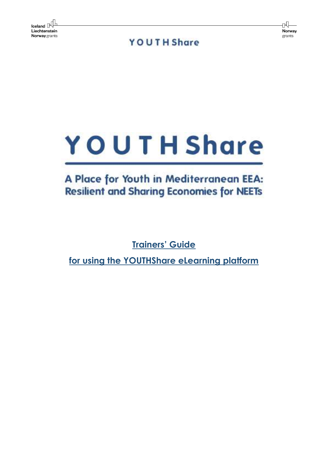rN. Norway grants

**YOUTH Share** 



# A Place for Youth in Mediterranean EEA: **Resilient and Sharing Economies for NEETs**

**Trainers' Guide** 

**for using the YOUTHShare eLearning platform**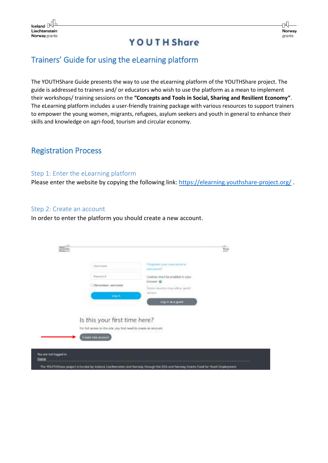#### Trainers' Guide for using the eLearning platform

The YOUTHShare Guide presents the way to use the eLearning platform of the YOUTHShare project. The guide is addressed to trainers and/ or educators who wish to use the platform as a mean to implement their workshops/ training sessions on the **"Concepts and Tools in Social, Sharing and Resilient Economy"**. The eLearning platform includes a user-friendly training package with various resources to support trainers to empower the young women, migrants, refugees, asylum seekers and youth in general to enhance their skills and knowledge on agri-food, tourism and circular economy.

#### Registration Process

#### Step 1: Enter the eLearning platform

Please enter the website by copying the following link: <https://elearning.youthshare-project.org/>.

#### Step 2: Create an account

In order to enter the platform you should create a new account.

| Lluxxxattei                                                        | Angelien Volc unimmers of<br>particularly!             |  |
|--------------------------------------------------------------------|--------------------------------------------------------|--|
| <b>Twonyord</b>                                                    | Cookies must be erabled in your                        |  |
| <b>E</b> Remember usemener                                         | <b>SYCHOOT GE</b><br>Sorrie-Journes may offer Julest   |  |
| <b>Login</b>                                                       | and the state of the state of the state<br>excellents. |  |
|                                                                    | Log in as a guest                                      |  |
|                                                                    |                                                        |  |
| Is this your first time here?                                      |                                                        |  |
| For full access to this site, you first head to create an account. |                                                        |  |
| Thursday and additional                                            |                                                        |  |
|                                                                    |                                                        |  |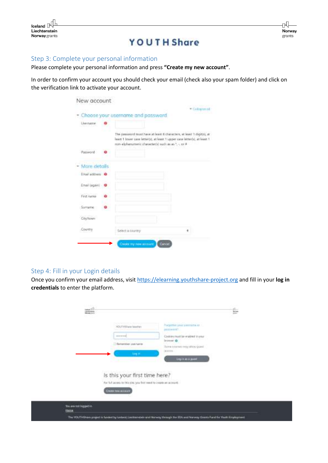| ⊣<br>Iceland $\mathbb{N}^{\mathbb{H}}$ | Р      |
|----------------------------------------|--------|
|                                        |        |
| Liechtenstein                          | Norway |
| <b>Norway</b> grants                   | grants |
| <b>YOUTH Share</b>                     |        |

#### Step 3: Complete your personal information

Please complete your personal information and press **"Create my new account"**.

In order to confirm your account you should check your email (check also your spam folder) and click on the verification link to activate your account.

|                    |                                                                                                                                                                                                          | Callisteri |
|--------------------|----------------------------------------------------------------------------------------------------------------------------------------------------------------------------------------------------------|------------|
|                    | Choose your username and password.                                                                                                                                                                       |            |
| Lisername          |                                                                                                                                                                                                          |            |
|                    | The password must have at least it characters, wheat 1 digit(s), at<br>heart 1 fower case letter(s), at least 1 upper case letter(s), at least 1.<br>min-alphanimeric character(s) such as as *, -, or # |            |
| Password           |                                                                                                                                                                                                          |            |
| More details       |                                                                                                                                                                                                          |            |
| Enailaddies O      |                                                                                                                                                                                                          |            |
| Erwirl (again) . @ |                                                                                                                                                                                                          |            |
| First name         |                                                                                                                                                                                                          |            |
| Sumame             |                                                                                                                                                                                                          |            |
| City/town          |                                                                                                                                                                                                          |            |
| Country            | Select a country                                                                                                                                                                                         |            |
|                    |                                                                                                                                                                                                          |            |

#### Step 4: Fill in your Login details

Once you confirm your email address, visit [https://elearning.youthshare-project.org](https://elearning.youthshare-project.org/) and fill in your **log in credentials** to enter the platform.

| <b>CONTRACTOR</b><br>$\Xi^{\rm th}_m$ |                                                                                                                            |                                                                                                                                                           | Ė |
|---------------------------------------|----------------------------------------------------------------------------------------------------------------------------|-----------------------------------------------------------------------------------------------------------------------------------------------------------|---|
|                                       | WILLIAM ww loanher<br>----------<br><b>Seternian userance</b><br><b>SALES</b>                                              | Pargetten war simmatie as :<br>jani (Ave work)<br>Codilies must be enabled in your<br>bose &<br>Sons counts may allow guine<br> 1 <br>Ling in an a given! |   |
|                                       | Is this your first time here?<br>For full access to this site, you first week to couple an accessivi-<br>Count to a street |                                                                                                                                                           |   |
| too are not legged in<br><b>Hans</b>  |                                                                                                                            | The VOUTHERMAN project's funded by typiscal Linkhrenable and Marinay through his EEA and tearway Grants Fund for Youth Engineeris                         |   |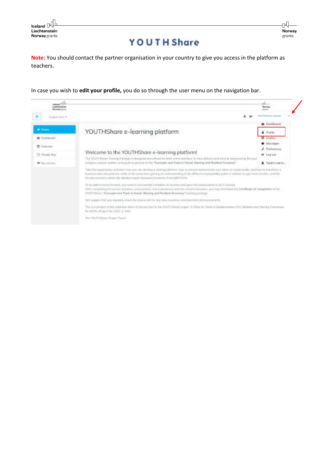

**Note:** You should contact the partner organisation in your country to give you access in the platform as teachers.

In case you wish to **edit your profile,** you do so through the user menu on the navigation bar.

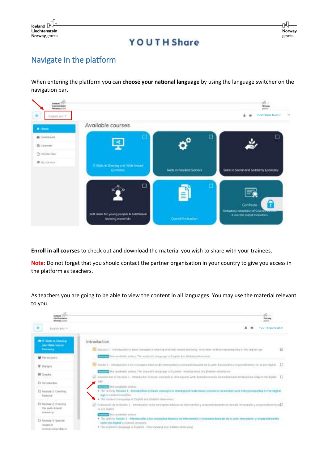

rÑ. Norway grants

## **YOUTH Share**

## Navigate in the platform

When entering the platform you can **choose your national language** by using the language switcher on the navigation bar.



**Enroll in all courses** to check out and download the material you wish to share with your trainees.

**Note:** Do not forget that you should contact the partner organisation in your country to give you access in the platform as teachers.

As teachers you are going to be able to view the content in all languages. You may use the material relevant to you.

| <b><i>Inchrement</i></b><br><b>Retracted Atlanta</b>                | <b>Mini</b><br><b>Holtway</b>                                                                                                                                                                                                                                                                                                                                                        |
|---------------------------------------------------------------------|--------------------------------------------------------------------------------------------------------------------------------------------------------------------------------------------------------------------------------------------------------------------------------------------------------------------------------------------------------------------------------------|
| ж<br>Explor kets +                                                  | YOUTHShare teacher                                                                                                                                                                                                                                                                                                                                                                   |
| <b>MY IT SAME IN STANDARD</b><br>unal Web-berrod<br><b>Bonney</b>   | Introduction<br>R<br>The "terminals E." And outsuch both family computes at situating catalizate) desired economy, recognation and online productive over the degrad regio                                                                                                                                                                                                           |
| <b>M</b> Periodatorii                                               | COUNTY for restricts arisen. The musical company is fragists and painter stressweet.                                                                                                                                                                                                                                                                                                 |
| <b>U</b> Tiobara                                                    | The case 1 - 300 notactive is the consequent futurism discovered interested by expenses in the set of a support of empressible entries and digital<br>The American state of the model of the property of the control of the control of the control of the control of the control of the control of the control of the control of the control of the control of the control of the co |
| <b>IR Graber</b>                                                    | Resident of Teslan 1 - Interactor to have considered when only well-belief economy interaction and environmental powers and the displat - [1]                                                                                                                                                                                                                                        |
| Пломани                                                             | <b>BBE</b><br><b>COLLEGE THAT CONSIGNS ASSISTS.</b>                                                                                                                                                                                                                                                                                                                                  |
| El Memie I: Conting<br>Motorist <sup>*</sup>                        | . The reliably Session 1 - broadschory to basic conveyts in shuming and seets itemed instruments announced an interpreneutship in the rights!<br>large to resolved complete.<br>. The student's kinguage is fleghts last Brainer atherwised.                                                                                                                                         |
| ET Monum 2: Intering<br>the wes-sound<br>middlerg                   | Customin in in Series 7 - Introduction his coverages inhims in intercepting security possibles in with inner throughly expectificants at C<br>In our shakes.<br><b>Contact Fed revolutive artists</b>                                                                                                                                                                                |
| <b>CT Microsoft 31 Streets of</b><br>RESURE 21<br>management of the | . The contently Sendite, S. - Retroductoring is less conceptions between the intercommitte y economist beautoto en lie under twee reading y expectation entity<br>and a new display to creation complete.<br>. The student's language is Espaine - Interrocord and Justice attrewing                                                                                                 |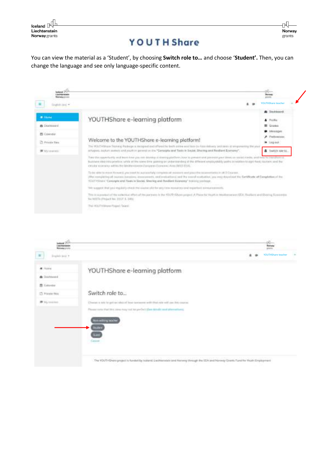$\mathsf{I}\subseteq\mathsf{I}\subseteq\mathsf{I}\subseteq\mathsf{I}$ Liechtenstein Norway grants

You can view the material as a 'Student', by choosing **Switch role to…** and choose '**Student'.** Then, you can change the language and see only language-specific content.





rN. Norway grants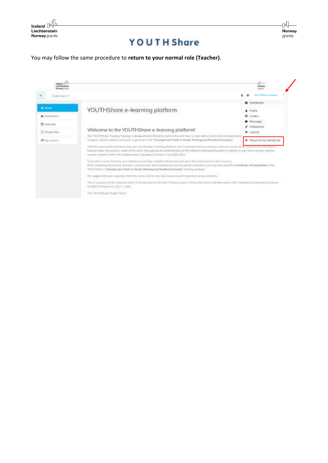

You may follow the same procedure to **return to your normal role (Teacher)**.

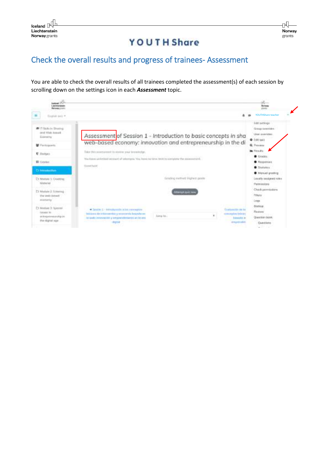## Check the overall results and progress of trainees- Assessment

You are able to check the overall results of all trainees completed the assessment(s) of each session by scrolling down on the settings icon in each *Assessment* topic.

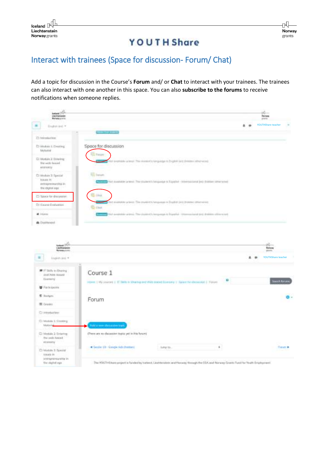#### Interact with trainees (Space for discussion- Forum/ Chat)

Add a topic for discussion in the Course's **Forum** and/ or **Chat** to interact with your trainees. The trainees can also interact with one another in this space. You can also **subscribe to the forums** to receive notifications when someone replies.

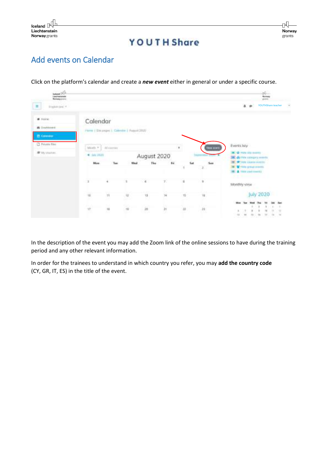

## Add events on Calendar

Click on the platform's calendar and create a *new event* either in general or under a specific course.

| hadward (14) .<br>Herbeggenet              |                         |                 |                                           |             |                           |                     |                                       | ÷                                                                                           |
|--------------------------------------------|-------------------------|-----------------|-------------------------------------------|-------------|---------------------------|---------------------|---------------------------------------|---------------------------------------------------------------------------------------------|
| $\equiv$<br>Hammier, 4                     |                         |                 |                                           |             |                           |                     |                                       | YOUTHShare teacher<br>$\Delta$<br>÷                                                         |
| W Hole<br><b>B</b> Destroyed<br>25 Country | Calendar                |                 | Flore   Stearge:   Calendar   Report 2020 |             |                           |                     |                                       |                                                                                             |
| C Private Elec-<br># Hysteries             | Million 7<br>$+101201$  | Africany        |                                           | August 2020 |                           | $\pm$               | lan sıstl<br><b>SHERWHEEL STEEL #</b> | Events key<br><b>B</b> Q FOR IRV HARDS<br>di Hire conques www.ft.                           |
|                                            | Mas.                    | Tues            | Wed                                       | The         | fd.                       | tш<br>×             | <b>Sure</b><br>$\Delta$               | This cuse were<br>With prize men.<br><b>A</b> 1984 yiel towell.<br><b>Andrew Commercial</b> |
|                                            | $\overline{\mathbf{1}}$ | ×.              | 3                                         | $-6$        | T                         | п                   | $\scriptstyle\rm T$                   | Monthly view                                                                                |
|                                            | $10^{\circ}$            | $_{\rm H}$<br>œ | 庄<br>12                                   | 변           | 34                        | $\mathcal{L}$       | u                                     | July 2020                                                                                   |
|                                            | $\eta^+$                | $\dot{\rm u}$   | $\pm 0$                                   | $\rm{10}$   | $\overline{\mathfrak{z}}$ | $\overline{\omega}$ | $\mathbf{n}$                          | ū<br>$\sim$                                                                                 |

In the description of the event you may add the Zoom link of the online sessions to have during the training period and any other relevant information.

In order for the trainees to understand in which country you refer, you may **add the country code** (CY, GR, IT, ES) in the title of the event.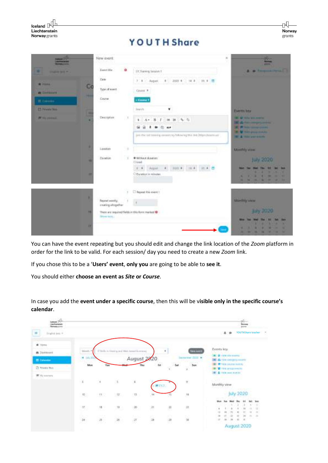| Iceland $\mathbb P$<br>Liechtenstein<br>Norway grants |                                            |        | <b>YOUTH Share</b>                                                 | ℕ<br>Norway<br>grants                                                      |
|-------------------------------------------------------|--------------------------------------------|--------|--------------------------------------------------------------------|----------------------------------------------------------------------------|
| <b>Distances</b> (212)<br>--                          | New event.                                 |        | $\mathcal{H}% _{0}$                                                | <b>March 1979</b>                                                          |
| ÷<br><b>CONTRACTOR</b>                                | Emmetitle                                  | o      | EX Transings fastalists 1:                                         | -<br><b>R. M. Hongman Litteria</b>                                         |
|                                                       | Date                                       |        | 2020 4<br>14.8<br>70 *                                             |                                                                            |
| <b>Witness</b><br><b><i>B Company</i></b>             | Co<br>Tupe of event                        |        | Cours #                                                            |                                                                            |
| II. Colores                                           | ٠<br>Course                                |        | Count 1                                                            |                                                                            |
| <b>CE Private No.</b>                                 |                                            |        | <b>Japiers</b><br>٠                                                | <b>EMPERING</b>                                                            |
| <b>IN the stationary</b>                              | Ŀ<br><b>Пеатгруктов</b><br>٠               | $\sim$ | 4.12<br>$A -$<br>и<br>x.<br>186                                    | <b>HEL AND TRIALS AND INCOME.</b><br><b>CALIBRATION</b> CONTRACTOR         |
|                                                       |                                            |        | я<br><b>20 HP</b><br>œ<br>٠<br>٠                                   | <b>SECURITY AND IN COLUMN CHANGE</b><br><b>SALE</b> PERMIT STATE OF A REAL |
|                                                       |                                            |        | just the automobile connect by Schooling this disk Disputationman' | <b>W. A. Hold Little Avenue</b>                                            |
|                                                       | ٠<br>Location                              | 70     |                                                                    | <b>KASHITA'y VENV.</b>                                                     |
|                                                       | Datable<br>$\overline{10}$                 | - 1    | * Without durations                                                | <b>July 2020</b>                                                           |
|                                                       |                                            |        | Olima<br>300 4 16 4<br>$4 - 4$<br>Aspat:<br>35.4                   | <b>MAR</b>                                                                 |
|                                                       | $\mathbf{H}$                               |        | O Duration in minutes                                              | ٠<br>٠<br>٠<br>٠<br><b>MAGNET</b><br>٠<br>n<br>u<br>٠<br>٠<br>٠<br>u       |
|                                                       |                                            |        | <b>CT Repeat this event 1</b>                                      |                                                                            |
|                                                       | ٠<br>Report weekly.<br>treating altogether |        |                                                                    | <b>Abertists www.</b>                                                      |
|                                                       | m<br>More win.                             |        | There are required fields in this form marked @                    | July 2020                                                                  |
|                                                       | m                                          |        |                                                                    |                                                                            |

You can have the event repeating but you should edit and change the link location of the *Zoom* platform in order for the link to be valid. For each session/ day you need to create a new *Zoom* link.

If you chose this to be a '**Users' event**, **only you** are going to be able to **see it**.

You should either **choose an event as** *Site* **or** *Course*.

| au di papmanisati<br><b>European Artists</b>                   |                                                        |                                 |                              |                                                                    |                          |                       |                                                                          |              |                                                                                                                            |           | gq.<br>$\frac{1}{2}$ |                    |                      |
|----------------------------------------------------------------|--------------------------------------------------------|---------------------------------|------------------------------|--------------------------------------------------------------------|--------------------------|-----------------------|--------------------------------------------------------------------------|--------------|----------------------------------------------------------------------------------------------------------------------------|-----------|----------------------|--------------------|----------------------|
| $\frac{1}{2}$<br>English land, 11                              |                                                        |                                 |                              |                                                                    |                          |                       |                                                                          |              | 4.9                                                                                                                        |           |                      | YOUTHShare teacher | ×                    |
| # Yorks<br>@ Destacont<br>E Colombia<br>D. Niver Per-<br>青皮mmm | Mark."<br>٠<br>$p_{10}$ , $p_{21}$<br>$u_{\text{int}}$ | Tes                             |                              | If Bidly in high to and With Assaul European<br>August 2020<br>Thu | $\widetilde{\mathbf{m}}$ | ٠<br><b>Set</b><br>W. | <b>Tory June</b><br>istractive dial. #<br>$S_{\text{diff}}$<br>$\bar{z}$ | Events key   | <b>B</b> white site events<br>Arien improvement<br><b>Which parts bottly</b><br><b>With Property</b><br>A rible was model. |           |                      |                    |                      |
|                                                                | $\mathcal{C}$                                          | $\alpha$                        | H.                           | Ù,                                                                 |                          | $-0.1$                | 寒                                                                        | Monthly view |                                                                                                                            |           |                      |                    |                      |
|                                                                | (6)                                                    | 20.7                            | $\langle \mathbf{R} \rangle$ | $-13$                                                              | 78                       | 薄                     | $\overline{\phantom{a}}$                                                 |              |                                                                                                                            | July 2020 | <u>시 30% (1)</u>     |                    |                      |
|                                                                | IF.                                                    | W.                              | $^{10}$ .                    | $\mathcal{D}$ .                                                    | 관                        | 뿃                     | 进                                                                        | 21515        | v                                                                                                                          |           |                      | $\rightarrow$      | <b>SH</b><br>×<br>11 |
|                                                                | $\frac{1}{2K}$                                         | 1947 10<br>$\frac{1}{\sqrt{2}}$ | $\overline{\mathcal{B}}$     | $\overline{\theta}$                                                | $\frac{1}{2}$            | $\sigma$              | ù                                                                        |              |                                                                                                                            |           | <b>I'M</b><br>×.     | ۰                  | ×                    |
|                                                                |                                                        |                                 |                              |                                                                    |                          |                       |                                                                          |              | August 2020                                                                                                                |           |                      |                    |                      |

In case you add the **event under a specific course**, then this will be v**isible only in the specific course's calendar**.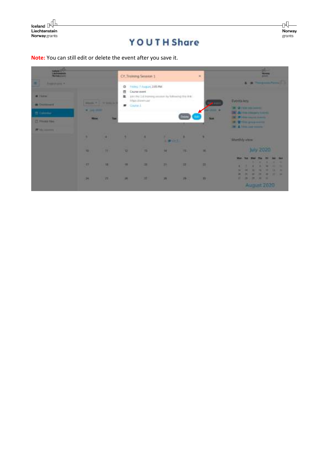

**Note:** You can still edit or delete the event after you save it.



n<br>P Norway grants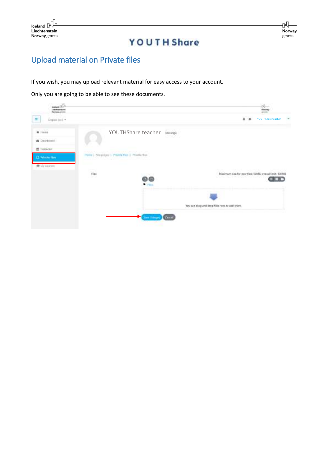

# Upload material on Private files

If you wish, you may upload relevant material for easy access to your account.

Only you are going to be able to see these documents.

| kwitangi (10,71)<br>Lipulisanakani<br>Managa prom |                                                              |                                         | theory.                                                |
|---------------------------------------------------|--------------------------------------------------------------|-----------------------------------------|--------------------------------------------------------|
| Digital lists +<br>π                              |                                                              |                                         | $A - B$<br>YOUTHShare teacher                          |
| $#$ Here                                          |                                                              | YOUTHShare teacher<br>Museopt           |                                                        |
| & Dochborot                                       |                                                              |                                         |                                                        |
| 普 Diference:                                      |                                                              |                                         |                                                        |
| <b>C</b> Private film                             | Premier J. Sills polyton J. Printers Front J. Principal Walk |                                         |                                                        |
| 素Nextoders                                        |                                                              |                                         | March 1986-205 - WASHINGTON                            |
|                                                   | $\bar{n}_0$                                                  |                                         | Maximum size for new files: SOMS, overall limit. 100MS |
|                                                   |                                                              | ጠ መ<br>Piloto                           |                                                        |
|                                                   |                                                              |                                         |                                                        |
|                                                   |                                                              |                                         | You can shag and thop files have to add them.          |
|                                                   |                                                              | <b>Claim Addressed</b><br><b>County</b> |                                                        |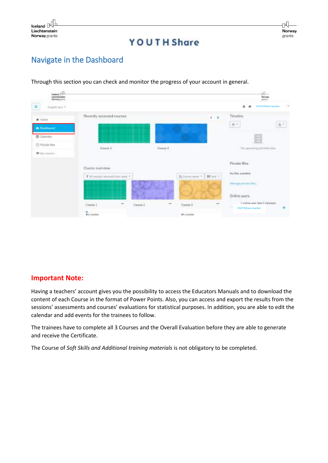## Navigate in the Dashboard



Through this section you can check and monitor the progress of your account in general.

#### **Important Note:**

Having a teachers' account gives you the possibility to access the Educators Manuals and to download the content of each Course in the format of Power Points. Also, you can access and export the results from the sessions' assessments and courses' evaluations for statistical purposes. In addition, you are able to edit the calendar and add events for the trainees to follow.

The trainees have to complete all 3 Courses and the Overall Evaluation before they are able to generate and receive the Certificate.

The Course of *Soft Skills and Additional training materials* is not obligatory to be completed.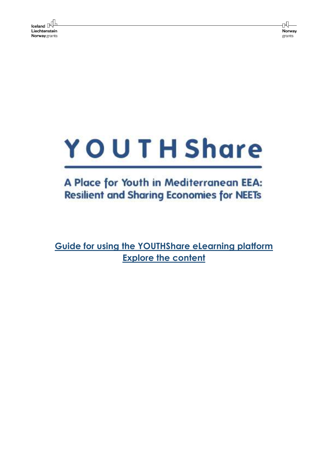rN. Norway grants

# YOUTH Share

# A Place for Youth in Mediterranean EEA: **Resilient and Sharing Economies for NEETs**

**Guide for using the YOUTHShare eLearning platform Explore the content**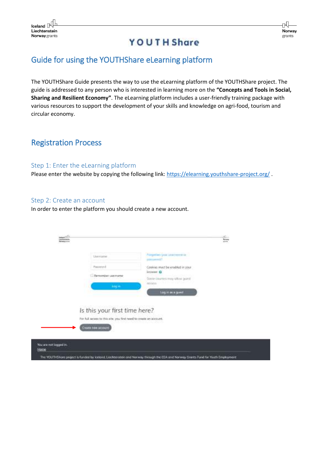#### Guide for using the YOUTHShare eLearning platform

The YOUTHShare Guide presents the way to use the eLearning platform of the YOUTHShare project. The guide is addressed to any person who is interested in learning more on the **"Concepts and Tools in Social, Sharing and Resilient Economy"**. The eLearning platform includes a user-friendly training package with various resources to support the development of your skills and knowledge on agri-food, tourism and circular economy.

#### Registration Process

#### Step 1: Enter the eLearning platform

Please enter the website by copying the following link[: https://elearning.youthshare-project.org/](https://elearning.youthshare-project.org/).

#### Step 2: Create an account

In order to enter the platform you should create a new account.

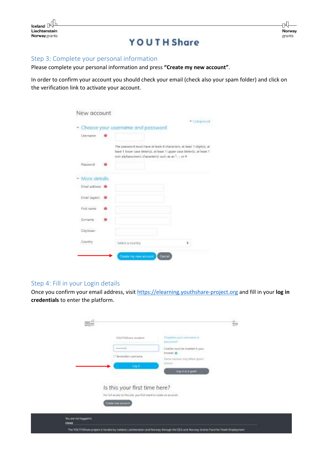

#### Step 3: Complete your personal information

Please complete your personal information and press **"Create my new account"**.

In order to confirm your account you should check your email (check also your spam folder) and click on the verification link to activate your account.

|                   | Choose your username and password                                                                                                                                                                         |  |
|-------------------|-----------------------------------------------------------------------------------------------------------------------------------------------------------------------------------------------------------|--|
| Lisername         |                                                                                                                                                                                                           |  |
|                   | The password must have at least 8 characters, w least 1 digit(s), at<br>heart 1 fower case letter(s), at least 1 upper case letter(s), at least 1.<br>min-alphanimeric character(s) such as as *, -, or # |  |
| Password :        |                                                                                                                                                                                                           |  |
| More details      |                                                                                                                                                                                                           |  |
| Environment Of    |                                                                                                                                                                                                           |  |
| Ernel (again) . @ |                                                                                                                                                                                                           |  |
| First name        |                                                                                                                                                                                                           |  |
| : Sumarme         |                                                                                                                                                                                                           |  |
| Civitann          |                                                                                                                                                                                                           |  |
| Country           | Select a country                                                                                                                                                                                          |  |

#### Step 4: Fill in your Login details

Once you confirm your email address, visit [https://elearning.youthshare-project.org](https://elearning.youthshare-project.org/) and fill in your **log in credentials** to enter the platform.

|                            | YOUTHShare student                                                | <b>Porgetter year contracts of</b>              |  |
|----------------------------|-------------------------------------------------------------------|-------------------------------------------------|--|
|                            |                                                                   | packaked?                                       |  |
|                            | <b>THEFT </b>                                                     | Casilies rout be maded in your                  |  |
|                            | Silkensweitlich siste ingele-                                     | <b>Brown O</b><br>Sams becreat they offer guard |  |
|                            | <b>Long In</b>                                                    | BIESS.                                          |  |
|                            |                                                                   | <b>DISTURBANCE</b>                              |  |
|                            |                                                                   |                                                 |  |
|                            | Is this your first time here?                                     |                                                 |  |
|                            |                                                                   |                                                 |  |
|                            | For full access to this site, you first week to create an account |                                                 |  |
|                            | <b>Cristo hay stream</b>                                          |                                                 |  |
|                            |                                                                   |                                                 |  |
| <b>Souse not logged in</b> |                                                                   |                                                 |  |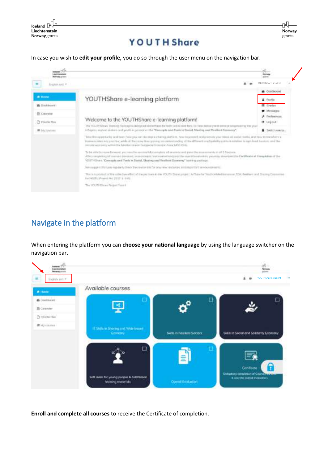$\mathsf{I}_\mathsf{celand}$ Liechtenstein Norway grants

## **YOUTH Share**

ηŪ

Norway grants

In case you wish to **edit your profile,** you do so through the user menu on the navigation bar.

| ٠<br><b>District for C</b> |                                                                                                                                                                                                                                                                                                                                                                                                 | YOUTHShare student                  |
|----------------------------|-------------------------------------------------------------------------------------------------------------------------------------------------------------------------------------------------------------------------------------------------------------------------------------------------------------------------------------------------------------------------------------------------|-------------------------------------|
| <b>W</b> Home              | YOUTHShare e-learning platform                                                                                                                                                                                                                                                                                                                                                                  | <b>&amp;</b> Contiboard<br>& Frefie |
| <b>W</b> Davidson's        |                                                                                                                                                                                                                                                                                                                                                                                                 | <b>Q</b> Grades                     |
| <b>四 Culorelur</b>         |                                                                                                                                                                                                                                                                                                                                                                                                 | <b>D</b> Mersonski<br>> Prelayerum  |
| <b>C</b> Private floor     | Welcome to the YOUTHShare e-learning platform!                                                                                                                                                                                                                                                                                                                                                  | I Legoat                            |
| # Invisions                | The VELITY Classe Topping Prichage is devigent and offered for forth and no mot face-to have move yould donot or sequence in your<br>(Chapper, singles) skillers and youth in general entitle. "Careright and Tools to Smith, Maxing and Risklind Scotlandy".                                                                                                                                   | A Switch role to                    |
|                            | Take Hitz apparaturity skel heart-rides plu car) do retain a shalling platform, how he powered not promise your triand at cooled readily, credition to transferre a<br>Humans (Au) Integrative, with at the conselling gening presidentialized in (Planet employability public)) stations in aprehent. Instant, and the<br>Hirosta worseny within the Musterina was European from pro AND (SA). |                                     |
|                            | To be which to reave favored, yet meet to secure/My vemptoty all seasons and pass the economies to all 3 Doctors.<br>After standarding all counter demonstrates interesting to a security of the contact of the overall medicalitie, you may mise you in Cardifferent all Class in the of the<br>YOUTHOUSE, "Concepts not Tools in Sociol, Shoring and Realized Economy" intering partiage      |                                     |
|                            | We coaper that join republicly close the courte district you revolution and requirements or countries to                                                                                                                                                                                                                                                                                        |                                     |
|                            | This is a promot of the odiective effort of the yestown in ite YOUTH Show project A Place for Youth In Washingtown of CA. Realised and Shoring Economist<br>Too NEWTO aProposity And 2012 F. L. (44-5).                                                                                                                                                                                         |                                     |
|                            | The YOUTHER are Program Team #                                                                                                                                                                                                                                                                                                                                                                  |                                     |

## Navigate in the platform

When entering the platform you can **choose your national language** by using the language switcher on the navigation bar.



**Enroll and complete all courses** to receive the Certificate of completion.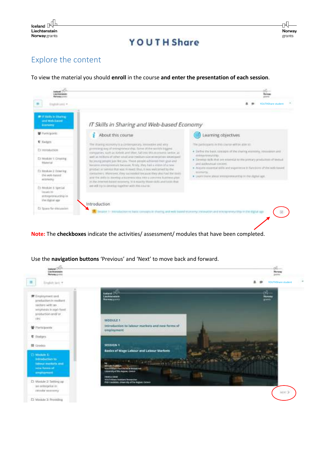

## Explore the content

To view the material you should **enroll** in the course **and enter the presentation of each session**.



**Note:** The **checkboxes** indicate the activities/ assessment/ modules that have been completed.



Use the **navigation buttons** 'Previous' and 'Next' to move back and forward.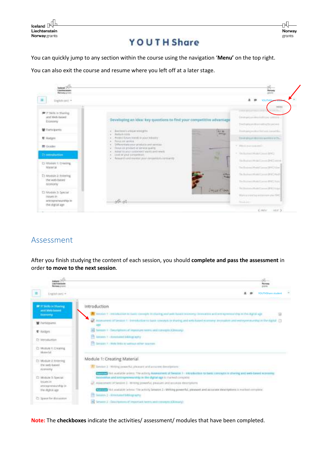

You can quickly jump to any section within the course using the navigation '**Menu'** on the top right.

You can also exit the course and resume where you left off at a later stage.



#### Assessment

After you finish studying the content of each session, you should **complete and pass the assessment** in order **to move to the next session**.



**Note:** The **checkboxes** indicate the activities/ assessment/ modules that have been completed.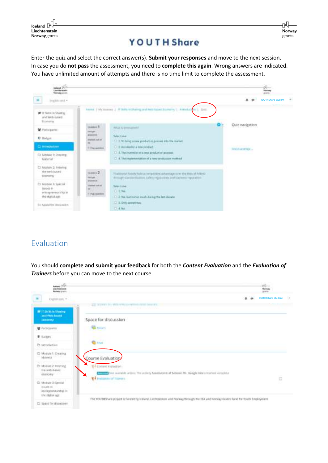$\begin{array}{c} \hline \text{Ideal} \\ \hline \text{Liechtenstein} \end{array}$ Liechtenstein Norway grants

## **YOUTH Share**

Enter the quiz and select the correct answer(s). **Submit your responses** and move to the next session. In case you do **not pass** the assessment, you need to **complete this again**. Wrong answers are indicated. You have unlimited amount of attempts and there is no time limit to complete the assessment.



## Evaluation

You should **complete and submit your feedback** for both the *Content Evaluation* and the *Evaluation of Trainers* before you can move to the next course.

| <b>County Office</b><br>Liabilitate scores                                          |                                                                                                                                        |   | the control<br>aram.     |     |
|-------------------------------------------------------------------------------------|----------------------------------------------------------------------------------------------------------------------------------------|---|--------------------------|-----|
| Explorario =                                                                        |                                                                                                                                        | ٠ | YOUTHShare student       | $-$ |
| W IT Selkkin Sharing<br>aret Wels Inspect<br><b>Abdiomy</b>                         | and received the setting restaurance in central determined<br>Space for discussion                                                     |   |                          |     |
| <b>W</b> Factionams                                                                 | <b>Common</b>                                                                                                                          |   |                          |     |
| D. Batters                                                                          |                                                                                                                                        |   |                          |     |
| Ct. verockattien                                                                    | <b>Girls</b>                                                                                                                           |   |                          |     |
| D Module 1: Creating<br>Material County                                             | Course Evaluation                                                                                                                      |   |                          |     |
| [3] Module 2 Emirring<br>the with-based.<br><b>Abbrigaty</b>                        | E- consecutivament<br>Not realist to an entirely Assetsment of Sessor 15 - Boogle Aim is marked complete.<br>To residence of tolerance |   | <b>Service</b><br>$\Box$ |     |
| C) Module 3:Special<br><b>NIGHT IN</b><br>int girlschamptgraften<br>the rights age. |                                                                                                                                        |   |                          |     |
| C: Space for (Escussion)                                                            | The YOUTHShare project is funded by Kieland, Liechtendom and Norway through the EEA and Norway Grants fund for Youth Employment.       |   |                          |     |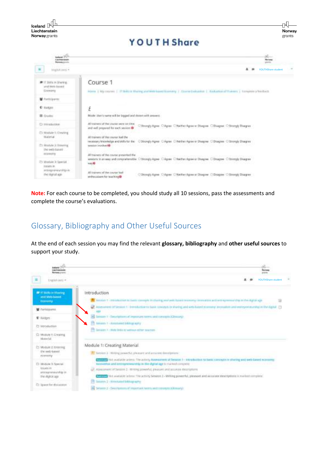

**Note:** For each course to be completed, you should study all 10 sessions, pass the assessments and complete the course's evaluations.

#### Glossary, Bibliography and Other Useful Sources

At the end of each session you may find the relevant **glossary, bibliography** and **other useful sources** to support your study.

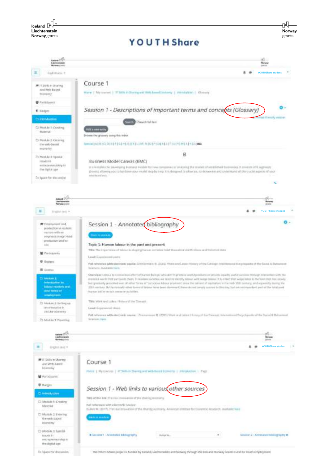

The VOUTHERING project is funded by kellural, Liechterenisht and Hichary through the SDA and Herway Grants Fund for Youth Employment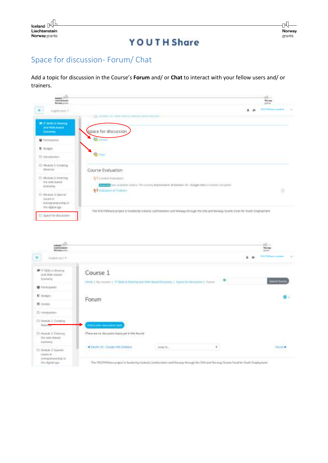## Space for discussion- Forum/ Chat

Add a topic for discussion in the Course's **Forum** and/ or **Chat** to interact with your fellow users and/ or trainers.



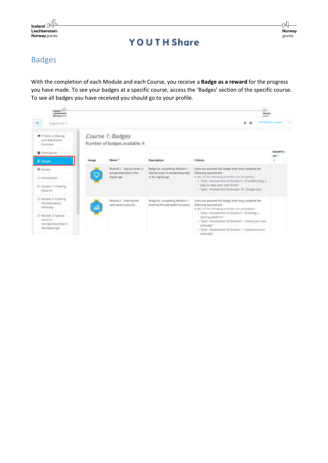## Badges

With the completion of each Module and each Course, you receive a **Badge as a reward** for the progress you have made. To see your badges at a specific course, access the 'Badges' section of the specific course. To see all badges you have received you should go to your profile.

| somed plik<br>Lischenson<br>Newspapers                                                    |          |                                                                        |                                                                                                    | $\sqrt{\frac{2\pi}{3}}$<br><b>Photo sures</b>                                                                                                                                                                |                    |
|-------------------------------------------------------------------------------------------|----------|------------------------------------------------------------------------|----------------------------------------------------------------------------------------------------|--------------------------------------------------------------------------------------------------------------------------------------------------------------------------------------------------------------|--------------------|
| Databasi *                                                                                |          |                                                                        |                                                                                                    | $A - B$                                                                                                                                                                                                      | YOUTHShare student |
| <b>IF</b> it sick is there.<br>and With Japan<br>TEDHONY                                  |          | Course 1: Badges<br>Number of badges available: 4                      |                                                                                                    |                                                                                                                                                                                                              |                    |
| <b>W</b> Participants<br>C Banger                                                         | Tersaign | Nume <sup>+</sup>                                                      | Description                                                                                        | Criteria                                                                                                                                                                                                     | Issued to<br>stee! |
| <b>IB</b> Cruise<br>C) nerotkerker                                                        |          | Mushim 3 - Special issues in<br>extrap ensurable in the<br>digital age | Bariga for completing Madule 2 -<br>Taxestad Issues: In entirepreneural tur-<br>in the digital age | Usert are sourcied this liadige when they complete the<br>following regulterment.<br>· ALL of the following activities are completed.<br>- "Dail: Assessment of Sevins 9 . Deselbeding a                     |                    |
| <b>C: Woode t: Creating</b><br>Warrantal <sup>1</sup>                                     |          |                                                                        | way to nate year own funds?                                                                        | - "GLE: Assessment of brailers 10 - Gauge Ads"                                                                                                                                                               |                    |
| 21 Module 2: Entering<br>the web based.<br><b>ALCOHOLIV</b>                               | á        | Madale 2 - Entering the<br>web-hand economy                            | Badian for completing Module 2 -<br>Entering the web-based accessing                               | Users are soon ded fills badge when they complete the<br>following resonances.<br>· ALL of the following activities are completed:                                                                           |                    |
| 21 Module 3: Special<br><b>Identified Inc.</b><br>retropressurds as an<br>the digital age |          |                                                                        |                                                                                                    | - "Quiz - Nannsenent of Dessies 9 - Settering a<br>sharing plasterer.<br>- "Qub - Acurasment of lassing 8 - Dreate year own<br>wetzage"<br>1: Quiz - Assessment of Session 7 - Listismine year.<br>webseter" |                    |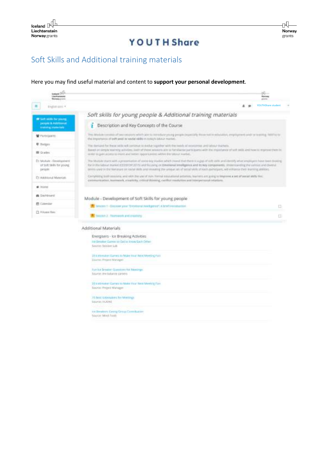## Soft Skills and Additional training materials

Source: Project Manager

.<br>15 best tuderalers for Mertings<br>topme: Huloni

na Review: Cong Gray: Constazion<br>Storze Mod-fork

#### Here you may find useful material and content to **support your personal development**.

| World Drive<br>ishtetetaki<br><b>Comments</b> guitaristic       |                                                                                                                                                                                                                                                                                                                                                                                                                                                                    | $\omega$<br><b><i><u><u>Starionis</u></u></i></b><br>ARMAD |
|-----------------------------------------------------------------|--------------------------------------------------------------------------------------------------------------------------------------------------------------------------------------------------------------------------------------------------------------------------------------------------------------------------------------------------------------------------------------------------------------------------------------------------------------------|------------------------------------------------------------|
| ۰<br>ENDIFICITY **                                              |                                                                                                                                                                                                                                                                                                                                                                                                                                                                    | YOUTHShare student                                         |
| <b>Wilson skills har young</b>                                  | Soft skills for young people & Additional training materials                                                                                                                                                                                                                                                                                                                                                                                                       |                                                            |
| <b>INSURE &amp; AUGUSTA</b><br>contribution relationships       | Description and Key Concepts of the Course<br>Ŧ                                                                                                                                                                                                                                                                                                                                                                                                                    |                                                            |
| <b>W</b> PARKUAKYNE                                             | This Maskels country of target supports which admits starts in the plant program player calls there not or montance, employment and or realizing him to be<br>the importance of anti-and/in/ sade( skills in teday's annun market.)                                                                                                                                                                                                                                |                                                            |
| <b>U</b> Bangers<br><b>E Gradies</b>                            | The mericant hat these sells will continue to middle logisther with the leaders of economial and below it stands.<br>Based an ombit identify admitted, both of these second arts or far-livense parts bank and the shundance of yot skills and how to response them in<br>easter six gues access so must eland better report preten est with the future monitor.                                                                                                   |                                                            |
| Et Motule - Development<br>of Soft Skills for young.<br>peggan. | The Module starts with a presentation of susteining studies which reveal that there is a gap of soft mills and identify what employers have been from as<br>for in the Sidney in any in 1111/1107-2015 and financial on Emerican Intelligence and Its key components. University the various and diversi-<br>behind used to the hive play on stabil dolls and revealing the unique set of social skills of saids participant, will enhance their draming obtities. |                                                            |
| <b>Pr Additional Materials</b>                                  | Complete type to sell sessions, and elith the year of that Termal estatents attended unions are pony to temprene a jet of people MAS film.<br>communication, teamwork, resenting, crimicatibiolog, curflict resolution and interpersonal relations.                                                                                                                                                                                                                |                                                            |
| W. Histor<br>kelilisi                                           |                                                                                                                                                                                                                                                                                                                                                                                                                                                                    |                                                            |
| <b>B</b> Destibuerg                                             | Module - Development of Soft Skills for young people                                                                                                                                                                                                                                                                                                                                                                                                               |                                                            |
| <b>IT Calendar</b>                                              | To Terrente I - Channer your Westmann Healiger out A bratter intention                                                                                                                                                                                                                                                                                                                                                                                             | D.                                                         |
| C) Filippe Wale                                                 | TestAR 2 - Thornwork and theatury                                                                                                                                                                                                                                                                                                                                                                                                                                  | 世                                                          |
|                                                                 | Additional Materials                                                                                                                                                                                                                                                                                                                                                                                                                                               |                                                            |
|                                                                 | Energisers - Ice Breaking Activities                                                                                                                                                                                                                                                                                                                                                                                                                               |                                                            |
|                                                                 | for Dreader Current to Gette Enery Easth Other-<br>Santole: Sesions Lib.                                                                                                                                                                                                                                                                                                                                                                                           |                                                            |
|                                                                 | 20 К РОНКА ИТ САНИЕ ВХ МАНИ ТЕАР НЕКСТРУИТИЕ РУКЕ<br>SHITE: FISER Matuspe                                                                                                                                                                                                                                                                                                                                                                                          |                                                            |
|                                                                 | Fair for Breaker Classifiers for Alexandru<br>Source: the lodgeste content                                                                                                                                                                                                                                                                                                                                                                                         |                                                            |
|                                                                 | Michigan also Provide the Library World Harry House Library Corp.                                                                                                                                                                                                                                                                                                                                                                                                  |                                                            |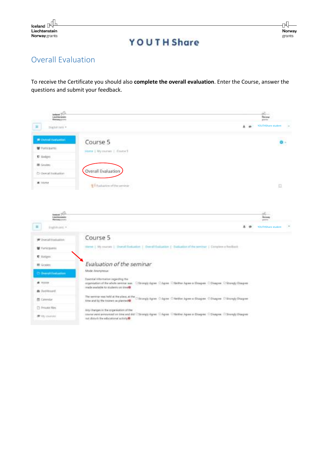

гÑ Norway grants

## **YOUTH Share**

## Overall Evaluation

To receive the Certificate you should also **complete the overall evaluation**. Enter the Course, answer the questions and submit your feedback.